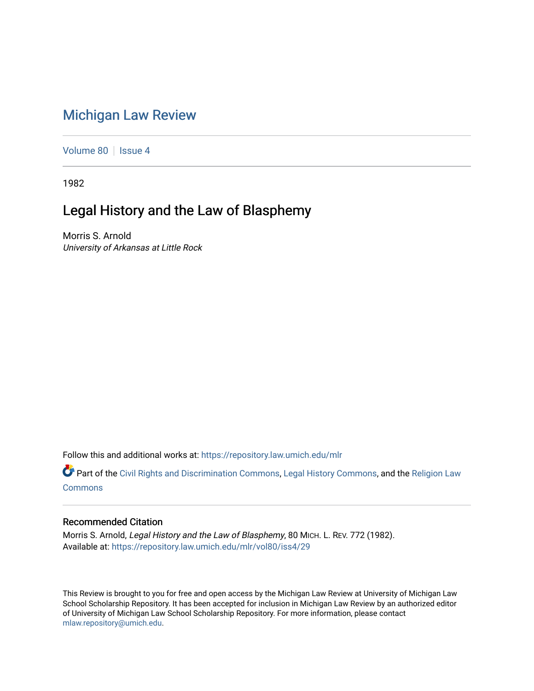# [Michigan Law Review](https://repository.law.umich.edu/mlr)

[Volume 80](https://repository.law.umich.edu/mlr/vol80) | [Issue 4](https://repository.law.umich.edu/mlr/vol80/iss4)

1982

# Legal History and the Law of Blasphemy

Morris S. Arnold University of Arkansas at Little Rock

Follow this and additional works at: [https://repository.law.umich.edu/mlr](https://repository.law.umich.edu/mlr?utm_source=repository.law.umich.edu%2Fmlr%2Fvol80%2Fiss4%2F29&utm_medium=PDF&utm_campaign=PDFCoverPages) 

Part of the [Civil Rights and Discrimination Commons,](http://network.bepress.com/hgg/discipline/585?utm_source=repository.law.umich.edu%2Fmlr%2Fvol80%2Fiss4%2F29&utm_medium=PDF&utm_campaign=PDFCoverPages) [Legal History Commons](http://network.bepress.com/hgg/discipline/904?utm_source=repository.law.umich.edu%2Fmlr%2Fvol80%2Fiss4%2F29&utm_medium=PDF&utm_campaign=PDFCoverPages), and the Religion Law **[Commons](http://network.bepress.com/hgg/discipline/872?utm_source=repository.law.umich.edu%2Fmlr%2Fvol80%2Fiss4%2F29&utm_medium=PDF&utm_campaign=PDFCoverPages)** 

## Recommended Citation

Morris S. Arnold, Legal History and the Law of Blasphemy, 80 MICH. L. REV. 772 (1982). Available at: [https://repository.law.umich.edu/mlr/vol80/iss4/29](https://repository.law.umich.edu/mlr/vol80/iss4/29?utm_source=repository.law.umich.edu%2Fmlr%2Fvol80%2Fiss4%2F29&utm_medium=PDF&utm_campaign=PDFCoverPages) 

This Review is brought to you for free and open access by the Michigan Law Review at University of Michigan Law School Scholarship Repository. It has been accepted for inclusion in Michigan Law Review by an authorized editor of University of Michigan Law School Scholarship Repository. For more information, please contact [mlaw.repository@umich.edu.](mailto:mlaw.repository@umich.edu)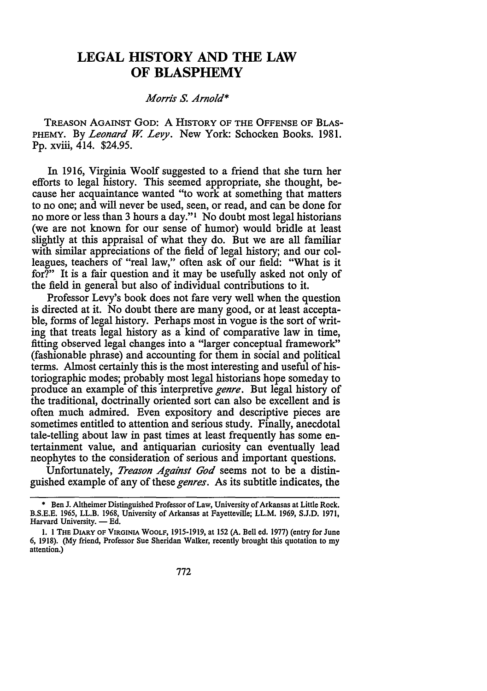## **LEGAL HISTORY AND THE LAW OF BLASPHEMY**

### *Morris* S. *Arnold\**

TREASON AGAINST Goo: A HISTORY OF THE OFFENSE OF BLAS-PHEMY. By *Leonard* W. *Levy.* New York: Schocken Books. 1981. Pp. xviii, 414. \$24.95.

In 1916, Virginia Woolf suggested to a friend that she tum her efforts to legal history. This seemed appropriate, she thought, because her acquaintance wanted "to work at something that matters to no one; and will never be used, seen, or read, and can be done for no more or less than 3 hours a day."<sup>1</sup> No doubt most legal historians (we are not known for our sense of humor) would bridle at least slightly at this appraisal of what they do. But we are all familiar with similar appreciations of the field of legal history; and our colleagues, teachers of "real law," often ask of our field: "What is it for?" It is a fair question and it may be usefully asked not only of the field in general but also of individual contributions to it.

Professor Levy's book does not fare very well when the question is directed at it. No doubt there are many good, or at least acceptable, forms of legal history. Perhaps most in vogue is the sort of writing that treats legal history as a kind of comparative law in time, fitting observed legal changes into a "larger conceptual framework" (fashionable phrase) and accounting for them in social and political terms. Almost certainly this is the most interesting and useful of historiographic modes; probably most legal historians hope someday to produce an example of this interpretive *genre.* But legal history of the traditional, doctrinally oriented sort can also be excellent and is often much admired. Even expository and descriptive pieces are sometimes entitled to attention and serious study. Finally, anecdotal tale-telling about law in past times at least frequently has some entertainment value, and antiquarian curiosity can eventually lead neophytes to the consideration of serious and important questions.

Unfortunately, *Treason Against God* seems not to be a distinguished example of any of these *genres.* As its subtitle indicates, the

<sup>•</sup> Ben J. Altheimer Distinguished Professor of Law, University of Arkansas at Little Rock. B.S.E.E. 1965, LL.B. 1968, University of Arkansas at Fayetteville; LL.M. 1969, S.J.D. 1971, Harvard University. - Ed.

<sup>1. 1</sup> THE DIARY OF VIRGINIA WOOLF, 1915-1919, at 152 (A. Bell ed. 1977) (entry for June 6, 1918). (My friend, Professor Sue Sheridan Walker, recently brought this quotation to my attention.)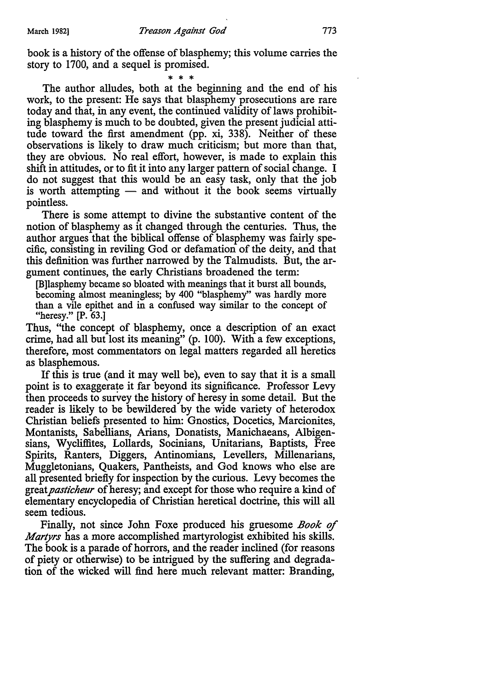book is a history of the offense of blasphemy; this volume carries the story to 1700, and a sequel is promised.

The author alludes, both at the beginning and the end of his work, to the present: He says that blasphemy prosecutions are rare today and that, in any event, the continued validity of laws prohibiting blasphemy is much to be doubted, given the present judicial attitude toward the first amendment {pp. xi, 338). Neither of these observations is likely to draw much criticism; but more than that, they are obvious. No real effort, however, is made to explain this shift in attitudes, or to fit it into any larger pattern of social change. I do not suggest that this would be an easy task, only that the job is worth attempting  $-$  and without it the book seems virtually pointless.

There is some attempt to divine the substantive content of the notion of blasphemy as it changed through the centuries. Thus, the author argues that the biblical offense of blasphemy was fairly specific, consisting in reviling God or defamation of the deity, and that this definition was further narrowed by the Talmudists. But, the argument continues, the early Christians broadened the term:

[B]lasphemy became so bloated with meanings that it burst all bounds, becoming almost meaningless; by 400 "blasphemy" was hardly more than a vile epithet and in a confused way similar to the concept of "heresy." [P. 63.]

Thus, "the concept of blasphemy, once a description of an exact crime, had all but lost its meaning" (p. 100). With a few exceptions, therefore, most commentators on legal matters regarded all heretics as blasphemous.

If this is true (and it may well be), even to say that it is a small point is to exaggerate it far beyond its significance. Professor Levy then proceeds to survey the history of heresy in some detail. But the reader is likely to be bewildered by the wide variety of heterodox Christian beliefs presented to him: Gnostics, Docetics, Marcionites, Montanists, Sabellians, Arians, Donatists, Manichaeans, Albigensians, Wycliffites, Lollards, Socinians, Unitarians, Baptists, Free Spirits, Ranters, Diggers, Antinomians, Levellers, Millenarians, Muggletonians, Quakers, Pantheists, and God knows who else are all presented briefly for inspection by the curious. Levy becomes the great *pasticheur* of heresy; and except for those who require a kind of elementary encyclopedia of Christian heretical doctrine, this will all seem tedious.

Finally, not since John Foxe produced his gruesome *Book of Martyrs* has a more accomplished martyrologist exhibited his skills. The book is a parade of horrors, and the reader inclined (for reasons of piety or otherwise) to be intrigued by the suffering and degradation of the wicked will find here much relevant matter: Branding,